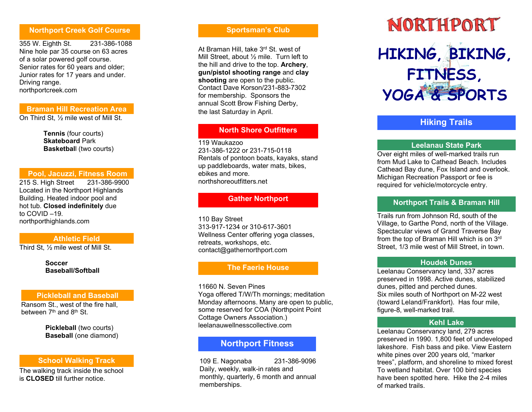## Northport Creek Golf Course

355 W. Eighth St. 231-386-1088 Nine hole par 35 course on 63 acres of a solar powered golf course. Senior rates for 60 years and older; Junior rates for 17 years and under. Driving range. northportcreek.com

## Braman Hill Recreation Area

On Third St, ½ mile west of Mill St.

Tennis (four courts) Skateboard Park Basketball (two courts)

## Pool, Jacuzzi, Fitness Room

215 S. High Street 231-386-9900 Located in the Northport Highlands Building. Heated indoor pool and hot tub. Closed indefinitely due to COVID –19. northporthighlands.com

#### Athletic Field

Third St, ½ mile west of Mill St.

**Soccer** Baseball/Softball

## Pickleball and Baseball

 Ransom St., west of the fire hall, between  $7<sup>th</sup>$  and  $8<sup>th</sup>$  St.

> Pickleball (two courts) Baseball (one diamond)

## School Walking Track

The walking track inside the school is CLOSED till further notice.

## Sportsman's Club

At Braman Hill, take 3rd St. west of Mill Street, about 1/<sub>2</sub> mile. Turn left to the hill and drive to the top. Archery, gun/pistol shooting range and clay shooting are open to the public. Contact Dave Korson/231-883-7302 for membership. Sponsors the annual Scott Brow Fishing Derby, the last Saturday in April.

## North Shore Outfitters

119 Waukazoo 231-386-1222 or 231-715-0118 Rentals of pontoon boats, kayaks, stand up paddleboards, water mats, bikes, ebikes and more. northshoreoutfitters.net

## Gather Northport

110 Bay Street 313-917-1234 or 310-617-3601 Wellness Center offering yoga classes, retreats, workshops, etc. contact@gathernorthport.com

# The Faerie House

11660 N. Seven Pines Yoga offered T/W/Th mornings; meditation Monday afternoons. Many are open to public, some reserved for COA (Northpoint Point Cottage Owners Association.) leelanauwellnesscollective.com

# Northport Fitness

109 E. Nagonaba 231-386-9096 Daily, weekly, walk-in rates and monthly, quarterly, 6 month and annual memberships.

# NORTHPORT HIKING, BIKING, FITNESS, YOGA & SPORTS

# Hiking Trails

## Leelanau State Park

Over eight miles of well-marked trails run from Mud Lake to Cathead Beach. Includes Cathead Bay dune, Fox Island and overlook. Michigan Recreation Passport or fee is required for vehicle/motorcycle entry.

## Northport Trails & Braman Hill

Trails run from Johnson Rd, south of the Village, to Garthe Pond, north of the Village. Spectacular views of Grand Traverse Bay from the top of Braman Hill which is on 3rd Street, 1/3 mile west of Mill Street, in town.

## Houd e k Dunes

Leelanau Conservancy land, 337 acres preserved in 1998. Active dunes, stabilized dunes, pitted and perched dunes. Six miles south of Northport on M-22 west (toward Leland/Frankfort). Has four mile, figure-8, well-marked trail.

## Kehl Lake

Leelanau Conservancy land, 279 acres preserved in 1990. 1,800 feet of undeveloped lakeshore. Fish bass and pike. View Eastern white pines over 200 years old, "marker trees", platform, and shoreline to mixed forest To wetland habitat. Over 100 bird species have been spotted here. Hike the 2-4 miles of marked trails.